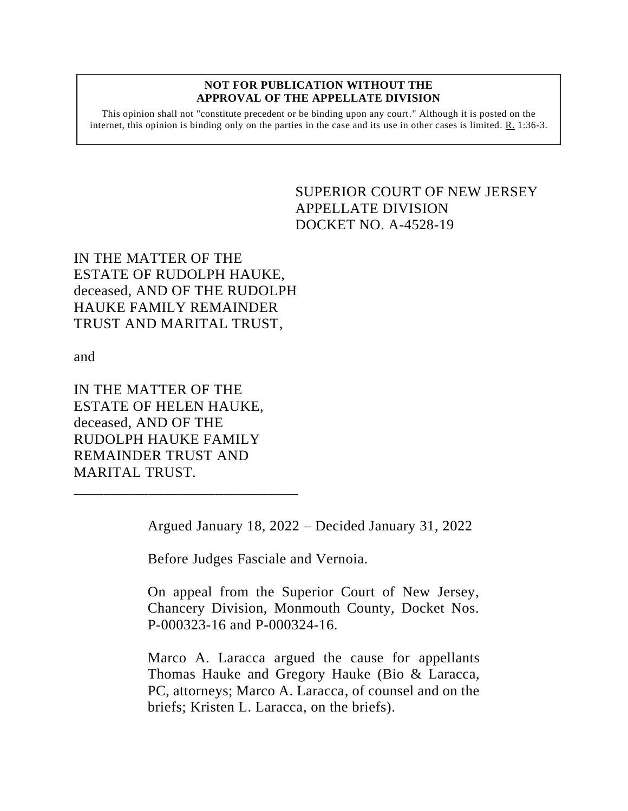## **NOT FOR PUBLICATION WITHOUT THE APPROVAL OF THE APPELLATE DIVISION**

This opinion shall not "constitute precedent or be binding upon any court." Although it is posted on the internet, this opinion is binding only on the parties in the case and its use in other cases is limited.  $R_1$  1:36-3.

> <span id="page-0-0"></span>SUPERIOR COURT OF NEW JERSEY APPELLATE DIVISION DOCKET NO. A-4528-19

IN THE MATTER OF THE ESTATE OF RUDOLPH HAUKE, deceased, AND OF THE RUDOLPH HAUKE FAMILY REMAINDER TRUST AND MARITAL TRUST,

and

IN THE MATTER OF THE ESTATE OF HELEN HAUKE, deceased, AND OF THE RUDOLPH HAUKE FAMILY REMAINDER TRUST AND MARITAL TRUST.

\_\_\_\_\_\_\_\_\_\_\_\_\_\_\_\_\_\_\_\_\_\_\_\_\_\_\_\_\_\_

Argued January 18, 2022 – Decided January 31, 2022

Before Judges Fasciale and Vernoia.

On appeal from the Superior Court of New Jersey, Chancery Division, Monmouth County, Docket Nos. P-000323-16 and P-000324-16.

Marco A. Laracca argued the cause for appellants Thomas Hauke and Gregory Hauke (Bio & Laracca, PC, attorneys; Marco A. Laracca, of counsel and on the briefs; Kristen L. Laracca, on the briefs).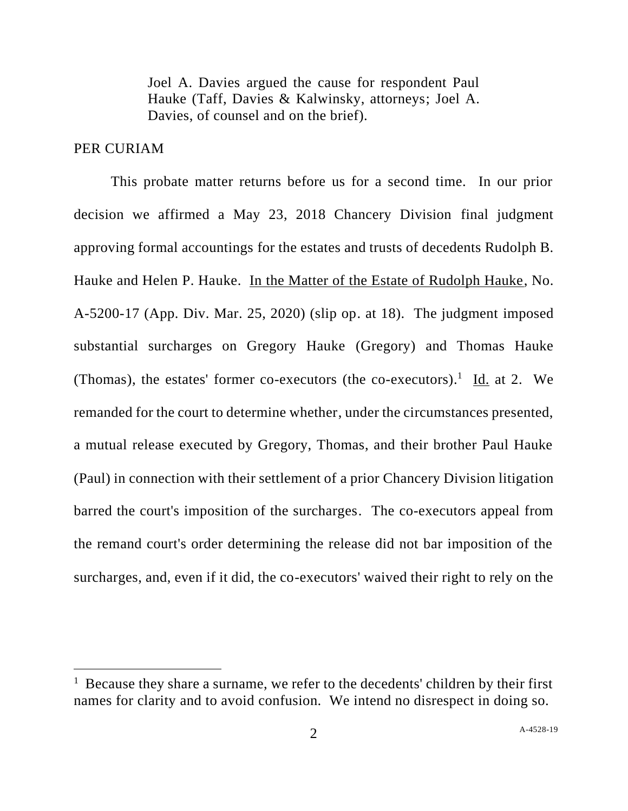Joel A. Davies argued the cause for respondent Paul Hauke (Taff, Davies & Kalwinsky, attorneys; Joel A. Davies, of counsel and on the brief).

## PER CURIAM

This probate matter returns before us for a second time. In our prior decision we affirmed a May 23, 2018 Chancery Division final judgment approving formal accountings for the estates and trusts of decedents Rudolph B. Hauke and Helen P. Hauke. In the Matter of the Estate of Rudolph Hauke, No. A-5200-17 (App. Div. Mar. 25, 2020) (slip op. at 18). The judgment imposed substantial surcharges on Gregory Hauke (Gregory) and Thomas Hauke (Thomas), the estates' former co-executors (the co-executors).<sup>1</sup> Id. at 2. We remanded for the court to determine whether, under the circumstances presented, a mutual release executed by Gregory, Thomas, and their brother Paul Hauke (Paul) in connection with their settlement of a prior Chancery Division litigation barred the court's imposition of the surcharges. The co-executors appeal from the remand court's order determining the release did not bar imposition of the surcharges, and, even if it did, the co-executors' waived their right to rely on the

<sup>&</sup>lt;sup>1</sup> Because they share a surname, we refer to the decedents' children by their first names for clarity and to avoid confusion. We intend no disrespect in doing so.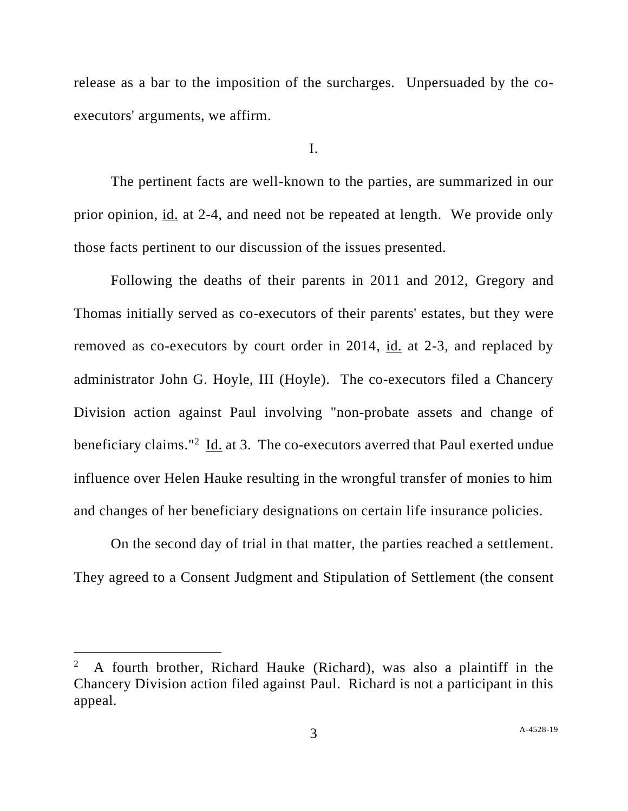release as a bar to the imposition of the surcharges. Unpersuaded by the coexecutors' arguments, we affirm.

I.

The pertinent facts are well-known to the parties, are summarized in our prior opinion, id. at 2-4, and need not be repeated at length. We provide only those facts pertinent to our discussion of the issues presented.

Following the deaths of their parents in 2011 and 2012, Gregory and Thomas initially served as co-executors of their parents' estates, but they were removed as co-executors by court order in 2014, id. at 2-3, and replaced by administrator John G. Hoyle, III (Hoyle). The co-executors filed a Chancery Division action against Paul involving "non-probate assets and change of beneficiary claims."<sup>2</sup> Id. at 3. The co-executors averred that Paul exerted undue influence over Helen Hauke resulting in the wrongful transfer of monies to him and changes of her beneficiary designations on certain life insurance policies.

On the second day of trial in that matter, the parties reached a settlement. They agreed to a Consent Judgment and Stipulation of Settlement (the consent

<sup>2</sup> A fourth brother, Richard Hauke (Richard), was also a plaintiff in the Chancery Division action filed against Paul. Richard is not a participant in this appeal.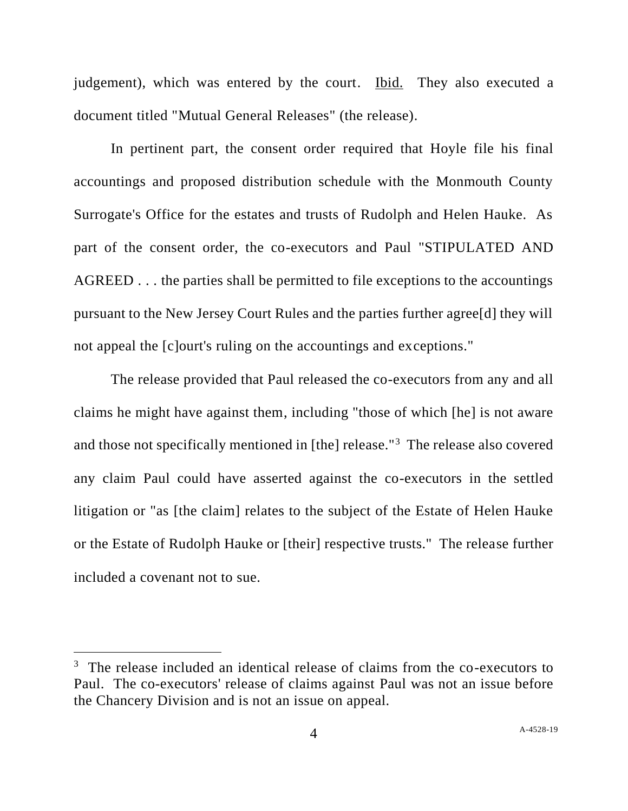judgement), which was entered by the court. Ibid. They also executed a document titled "Mutual General Releases" (the release).

In pertinent part, the consent order required that Hoyle file his final accountings and proposed distribution schedule with the Monmouth County Surrogate's Office for the estates and trusts of Rudolph and Helen Hauke. As part of the consent order, the co-executors and Paul "STIPULATED AND AGREED . . . the parties shall be permitted to file exceptions to the accountings pursuant to the New Jersey Court Rules and the parties further agree[d] they will not appeal the [c]ourt's ruling on the accountings and exceptions."

The release provided that Paul released the co-executors from any and all claims he might have against them, including "those of which [he] is not aware and those not specifically mentioned in [the] release."<sup>3</sup> The release also covered any claim Paul could have asserted against the co-executors in the settled litigation or "as [the claim] relates to the subject of the Estate of Helen Hauke or the Estate of Rudolph Hauke or [their] respective trusts." The release further included a covenant not to sue.

<sup>&</sup>lt;sup>3</sup> The release included an identical release of claims from the co-executors to Paul. The co-executors' release of claims against Paul was not an issue before the Chancery Division and is not an issue on appeal.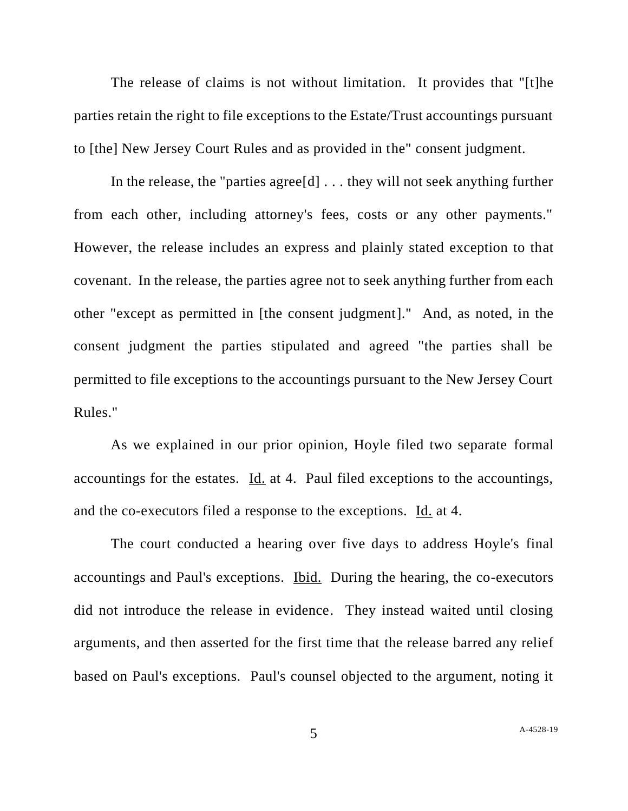The release of claims is not without limitation. It provides that "[t]he parties retain the right to file exceptions to the Estate/Trust accountings pursuant to [the] New Jersey Court Rules and as provided in the" consent judgment.

In the release, the "parties agree[d] . . . they will not seek anything further from each other, including attorney's fees, costs or any other payments." However, the release includes an express and plainly stated exception to that covenant. In the release, the parties agree not to seek anything further from each other "except as permitted in [the consent judgment]." And, as noted, in the consent judgment the parties stipulated and agreed "the parties shall be permitted to file exceptions to the accountings pursuant to the New Jersey Court Rules."

As we explained in our prior opinion, Hoyle filed two separate formal accountings for the estates. Id. at 4. Paul filed exceptions to the accountings, and the co-executors filed a response to the exceptions. Id. at 4.

The court conducted a hearing over five days to address Hoyle's final accountings and Paul's exceptions. Ibid. During the hearing, the co-executors did not introduce the release in evidence. They instead waited until closing arguments, and then asserted for the first time that the release barred any relief based on Paul's exceptions. Paul's counsel objected to the argument, noting it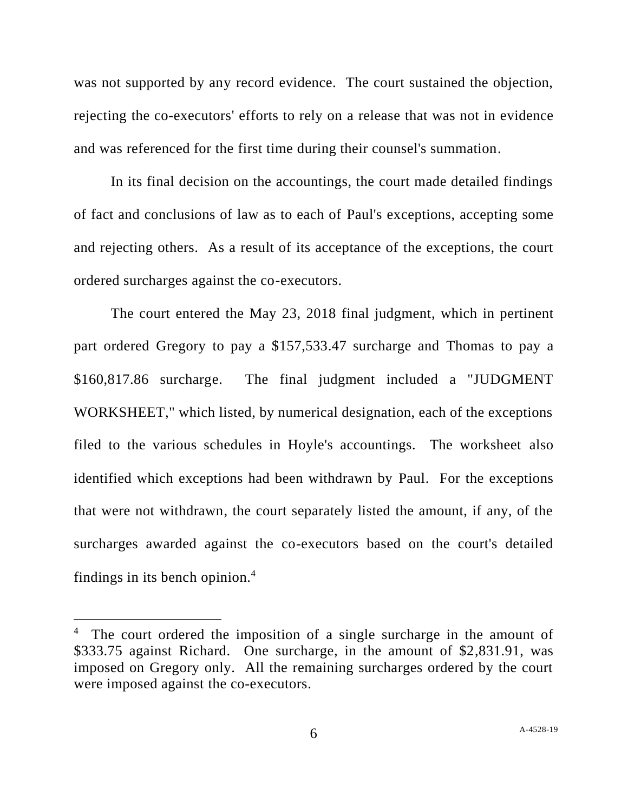was not supported by any record evidence. The court sustained the objection, rejecting the co-executors' efforts to rely on a release that was not in evidence and was referenced for the first time during their counsel's summation.

In its final decision on the accountings, the court made detailed findings of fact and conclusions of law as to each of Paul's exceptions, accepting some and rejecting others. As a result of its acceptance of the exceptions, the court ordered surcharges against the co-executors.

The court entered the May 23, 2018 final judgment, which in pertinent part ordered Gregory to pay a \$157,533.47 surcharge and Thomas to pay a \$160,817.86 surcharge. The final judgment included a "JUDGMENT WORKSHEET," which listed, by numerical designation, each of the exceptions filed to the various schedules in Hoyle's accountings. The worksheet also identified which exceptions had been withdrawn by Paul. For the exceptions that were not withdrawn, the court separately listed the amount, if any, of the surcharges awarded against the co-executors based on the court's detailed findings in its bench opinion.<sup>4</sup>

<sup>&</sup>lt;sup>4</sup> The court ordered the imposition of a single surcharge in the amount of \$333.75 against Richard. One surcharge, in the amount of \$2,831.91, was imposed on Gregory only. All the remaining surcharges ordered by the court were imposed against the co-executors.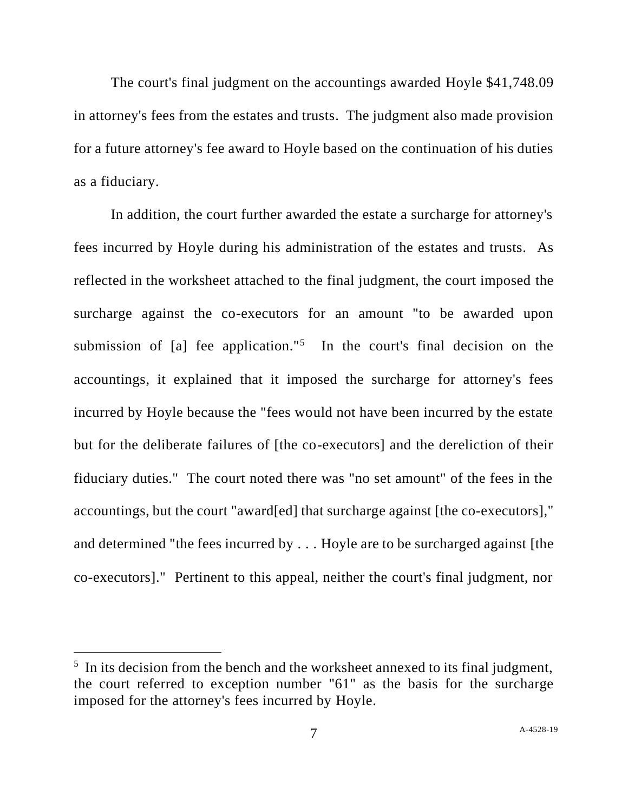The court's final judgment on the accountings awarded Hoyle \$41,748.09 in attorney's fees from the estates and trusts. The judgment also made provision for a future attorney's fee award to Hoyle based on the continuation of his duties as a fiduciary.

In addition, the court further awarded the estate a surcharge for attorney's fees incurred by Hoyle during his administration of the estates and trusts. As reflected in the worksheet attached to the final judgment, the court imposed the surcharge against the co-executors for an amount "to be awarded upon submission of  $[a]$  fee application."<sup>5</sup> In the court's final decision on the accountings, it explained that it imposed the surcharge for attorney's fees incurred by Hoyle because the "fees would not have been incurred by the estate but for the deliberate failures of [the co-executors] and the dereliction of their fiduciary duties." The court noted there was "no set amount" of the fees in the accountings, but the court "award[ed] that surcharge against [the co-executors]," and determined "the fees incurred by . . . Hoyle are to be surcharged against [the co-executors]." Pertinent to this appeal, neither the court's final judgment, nor

 $<sup>5</sup>$  In its decision from the bench and the worksheet annexed to its final judgment,</sup> the court referred to exception number "61" as the basis for the surcharge imposed for the attorney's fees incurred by Hoyle.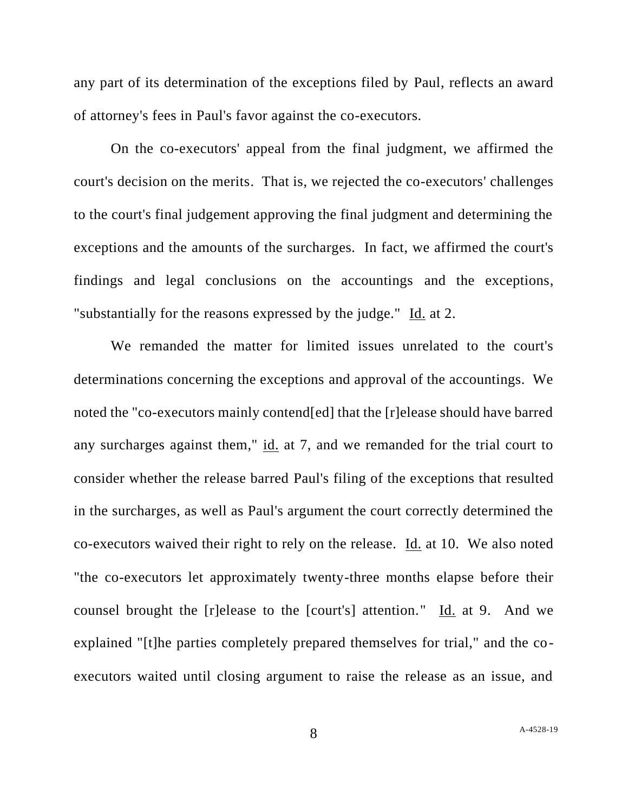any part of its determination of the exceptions filed by Paul, reflects an award of attorney's fees in Paul's favor against the co-executors.

On the co-executors' appeal from the final judgment, we affirmed the court's decision on the merits. That is, we rejected the co-executors' challenges to the court's final judgement approving the final judgment and determining the exceptions and the amounts of the surcharges. In fact, we affirmed the court's findings and legal conclusions on the accountings and the exceptions, "substantially for the reasons expressed by the judge." Id. at 2.

We remanded the matter for limited issues unrelated to the court's determinations concerning the exceptions and approval of the accountings. We noted the "co-executors mainly contend[ed] that the [r]elease should have barred any surcharges against them," id. at 7, and we remanded for the trial court to consider whether the release barred Paul's filing of the exceptions that resulted in the surcharges, as well as Paul's argument the court correctly determined the co-executors waived their right to rely on the release. Id. at 10. We also noted "the co-executors let approximately twenty-three months elapse before their counsel brought the [r]elease to the [court's] attention." Id. at 9. And we explained "[t]he parties completely prepared themselves for trial," and the coexecutors waited until closing argument to raise the release as an issue, and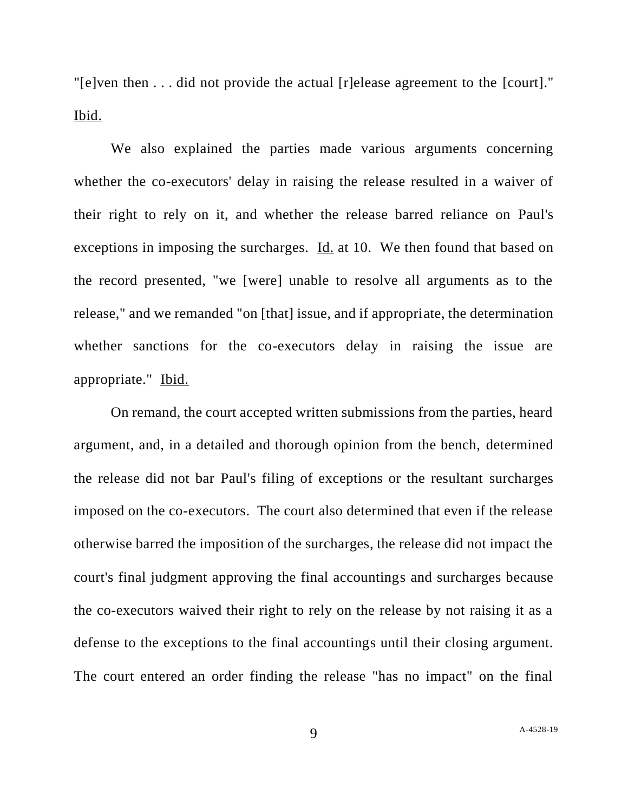"[e]ven then . . . did not provide the actual [r]elease agreement to the [court]." Ibid.

We also explained the parties made various arguments concerning whether the co-executors' delay in raising the release resulted in a waiver of their right to rely on it, and whether the release barred reliance on Paul's exceptions in imposing the surcharges. Id. at 10. We then found that based on the record presented, "we [were] unable to resolve all arguments as to the release," and we remanded "on [that] issue, and if appropriate, the determination whether sanctions for the co-executors delay in raising the issue are appropriate." Ibid.

On remand, the court accepted written submissions from the parties, heard argument, and, in a detailed and thorough opinion from the bench, determined the release did not bar Paul's filing of exceptions or the resultant surcharges imposed on the co-executors. The court also determined that even if the release otherwise barred the imposition of the surcharges, the release did not impact the court's final judgment approving the final accountings and surcharges because the co-executors waived their right to rely on the release by not raising it as a defense to the exceptions to the final accountings until their closing argument. The court entered an order finding the release "has no impact" on the final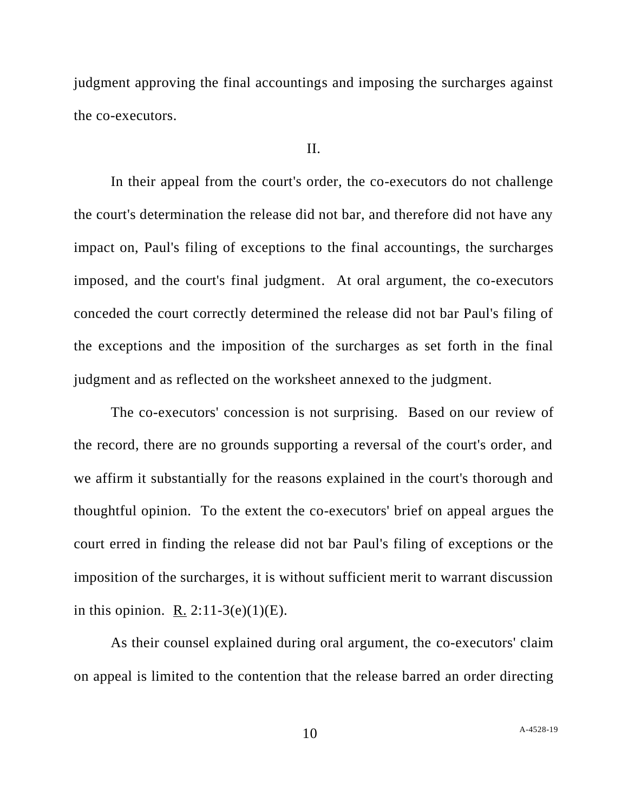judgment approving the final accountings and imposing the surcharges against the co-executors.

## II.

In their appeal from the court's order, the co-executors do not challenge the court's determination the release did not bar, and therefore did not have any impact on, Paul's filing of exceptions to the final accountings, the surcharges imposed, and the court's final judgment. At oral argument, the co-executors conceded the court correctly determined the release did not bar Paul's filing of the exceptions and the imposition of the surcharges as set forth in the final judgment and as reflected on the worksheet annexed to the judgment.

The co-executors' concession is not surprising. Based on our review of the record, there are no grounds supporting a reversal of the court's order, and we affirm it substantially for the reasons explained in the court's thorough and thoughtful opinion. To the extent the co-executors' brief on appeal argues the court erred in finding the release did not bar Paul's filing of exceptions or the imposition of the surcharges, it is without sufficient merit to warrant discussion in this opinion. R.  $2:11-3(e)(1)(E)$ .

As their counsel explained during oral argument, the co-executors' claim on appeal is limited to the contention that the release barred an order directing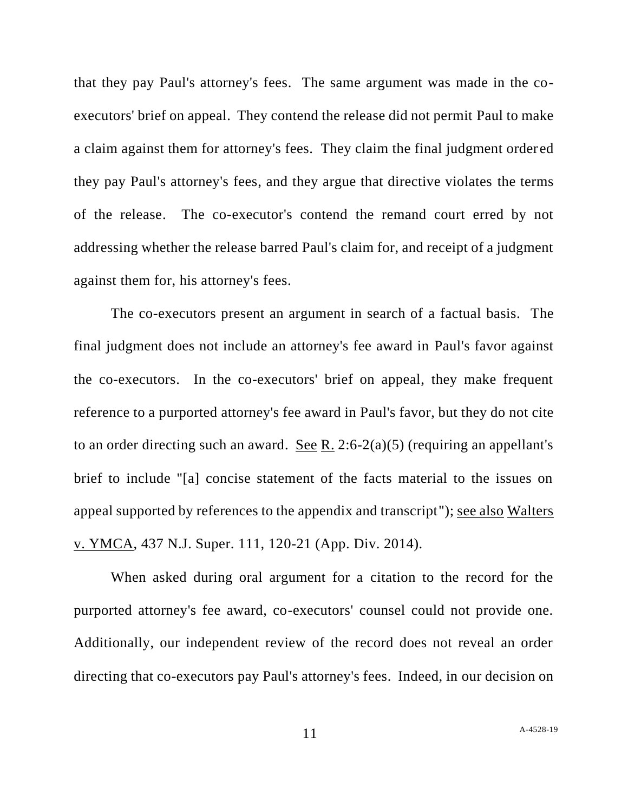that they pay Paul's attorney's fees. The same argument was made in the coexecutors' brief on appeal. They contend the release did not permit Paul to make a claim against them for attorney's fees. They claim the final judgment order ed they pay Paul's attorney's fees, and they argue that directive violates the terms of the release. The co-executor's contend the remand court erred by not addressing whether the release barred Paul's claim for, and receipt of a judgment against them for, his attorney's fees.

The co-executors present an argument in search of a factual basis. The final judgment does not include an attorney's fee award in Paul's favor against the co-executors. In the co-executors' brief on appeal, they make frequent reference to a purported attorney's fee award in Paul's favor, but they do not cite to an order directing such an award. See R. 2:6-2(a)(5) (requiring an appellant's brief to include "[a] concise statement of the facts material to the issues on appeal supported by references to the appendix and transcript"); see also Walters v. YMCA, 437 N.J. Super. 111, 120-21 (App. Div. 2014).

When asked during oral argument for a citation to the record for the purported attorney's fee award, co-executors' counsel could not provide one. Additionally, our independent review of the record does not reveal an order directing that co-executors pay Paul's attorney's fees. Indeed, in our decision on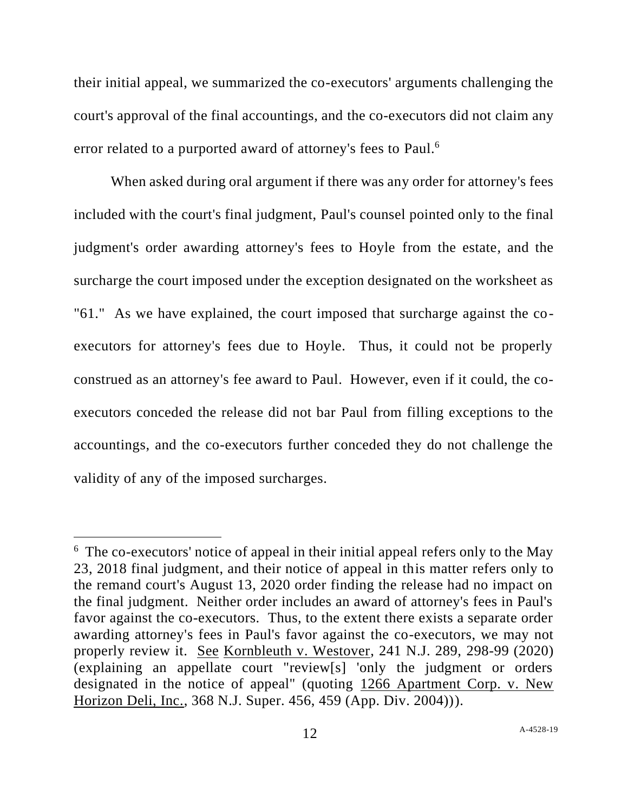their initial appeal, we summarized the co-executors' arguments challenging the court's approval of the final accountings, and the co-executors did not claim any error related to a purported award of attorney's fees to Paul.<sup>6</sup>

When asked during oral argument if there was any order for attorney's fees included with the court's final judgment, Paul's counsel pointed only to the final judgment's order awarding attorney's fees to Hoyle from the estate, and the surcharge the court imposed under the exception designated on the worksheet as "61." As we have explained, the court imposed that surcharge against the coexecutors for attorney's fees due to Hoyle. Thus, it could not be properly construed as an attorney's fee award to Paul. However, even if it could, the coexecutors conceded the release did not bar Paul from filling exceptions to the accountings, and the co-executors further conceded they do not challenge the validity of any of the imposed surcharges.

<sup>&</sup>lt;sup>6</sup> The co-executors' notice of appeal in their initial appeal refers only to the May 23, 2018 final judgment, and their notice of appeal in this matter refers only to the remand court's August 13, 2020 order finding the release had no impact on the final judgment. Neither order includes an award of attorney's fees in Paul's favor against the co-executors. Thus, to the extent there exists a separate order awarding attorney's fees in Paul's favor against the co-executors, we may not properly review it. See Kornbleuth v. Westover, 241 N.J. 289, 298-99 (2020) (explaining an appellate court "review[s] 'only the judgment or orders designated in the notice of appeal" (quoting 1266 Apartment Corp. v. New Horizon Deli, Inc., 368 N.J. Super. 456, 459 (App. Div. 2004))).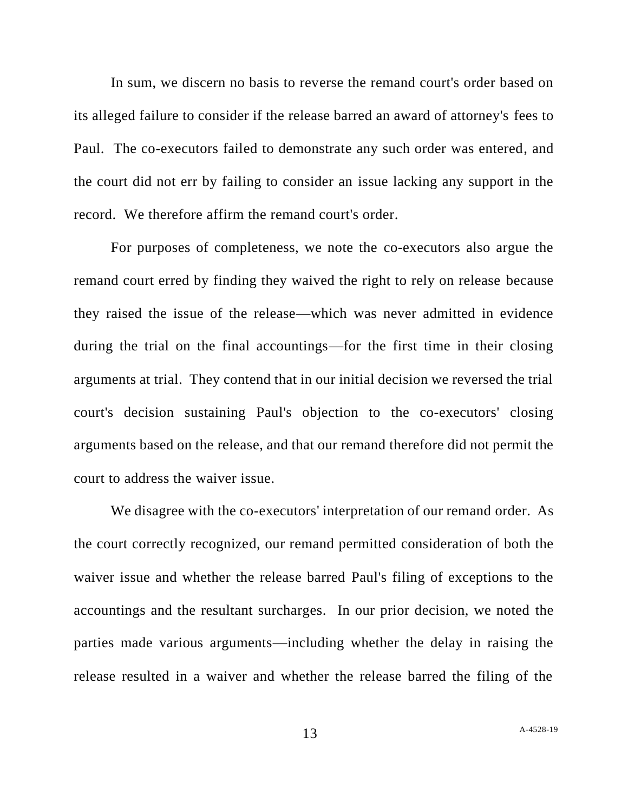In sum, we discern no basis to reverse the remand court's order based on its alleged failure to consider if the release barred an award of attorney's fees to Paul. The co-executors failed to demonstrate any such order was entered, and the court did not err by failing to consider an issue lacking any support in the record. We therefore affirm the remand court's order.

For purposes of completeness, we note the co-executors also argue the remand court erred by finding they waived the right to rely on release because they raised the issue of the release—which was never admitted in evidence during the trial on the final accountings—for the first time in their closing arguments at trial. They contend that in our initial decision we reversed the trial court's decision sustaining Paul's objection to the co-executors' closing arguments based on the release, and that our remand therefore did not permit the court to address the waiver issue.

We disagree with the co-executors' interpretation of our remand order. As the court correctly recognized, our remand permitted consideration of both the waiver issue and whether the release barred Paul's filing of exceptions to the accountings and the resultant surcharges. In our prior decision, we noted the parties made various arguments—including whether the delay in raising the release resulted in a waiver and whether the release barred the filing of the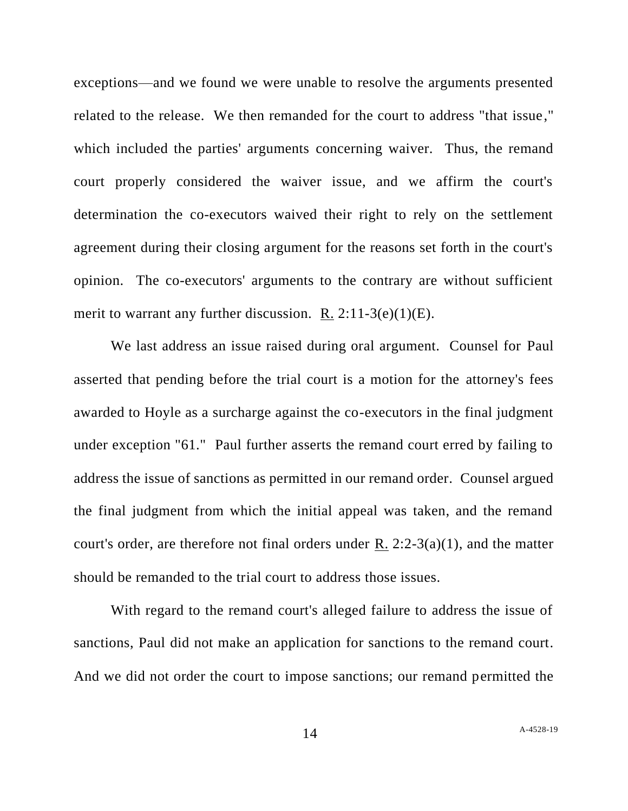exceptions—and we found we were unable to resolve the arguments presented related to the release. We then remanded for the court to address "that issue," which included the parties' arguments concerning waiver. Thus, the remand court properly considered the waiver issue, and we affirm the court's determination the co-executors waived their right to rely on the settlement agreement during their closing argument for the reasons set forth in the court's opinion. The co-executors' arguments to the contrary are without sufficient merit to warrant any further discussion. R.  $2:11-3(e)(1)(E)$ .

We last address an issue raised during oral argument. Counsel for Paul asserted that pending before the trial court is a motion for the attorney's fees awarded to Hoyle as a surcharge against the co-executors in the final judgment under exception "61." Paul further asserts the remand court erred by failing to address the issue of sanctions as permitted in our remand order. Counsel argued the final judgment from which the initial appeal was taken, and the remand court's order, are therefore not final orders under R.  $2:2-3(a)(1)$ , and the matter should be remanded to the trial court to address those issues.

With regard to the remand court's alleged failure to address the issue of sanctions, Paul did not make an application for sanctions to the remand court. And we did not order the court to impose sanctions; our remand permitted the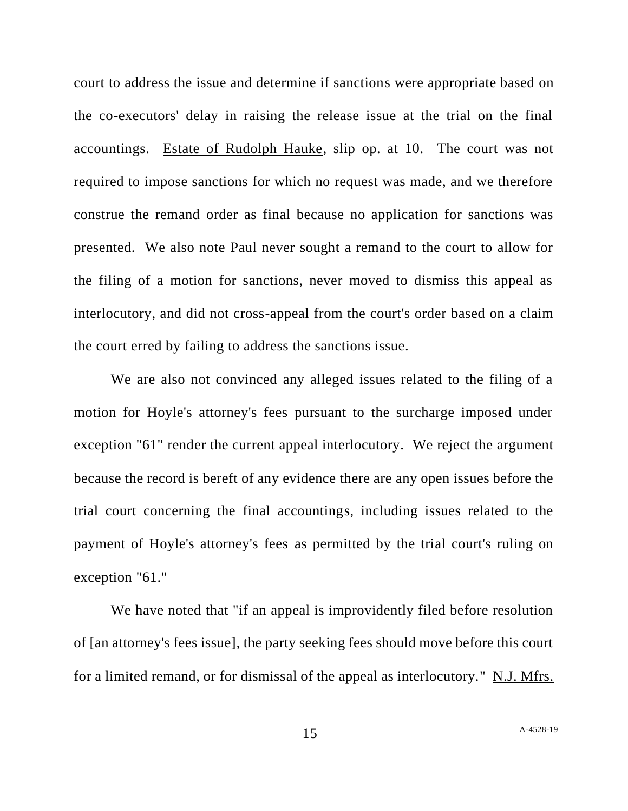court to address the issue and determine if sanctions were appropriate based on the co-executors' delay in raising the release issue at the trial on the final accountings. Estate of Rudolph Hauke, slip op. at 10. The court was not required to impose sanctions for which no request was made, and we therefore construe the remand order as final because no application for sanctions was presented. We also note Paul never sought a remand to the court to allow for the filing of a motion for sanctions, never moved to dismiss this appeal as interlocutory, and did not cross-appeal from the court's order based on a claim the court erred by failing to address the sanctions issue.

We are also not convinced any alleged issues related to the filing of a motion for Hoyle's attorney's fees pursuant to the surcharge imposed under exception "61" render the current appeal interlocutory. We reject the argument because the record is bereft of any evidence there are any open issues before the trial court concerning the final accountings, including issues related to the payment of Hoyle's attorney's fees as permitted by the trial court's ruling on exception "61."

We have noted that "if an appeal is improvidently filed before resolution of [an attorney's fees issue], the party seeking fees should move before this court for a limited remand, or for dismissal of the appeal as interlocutory." N.J. Mfrs.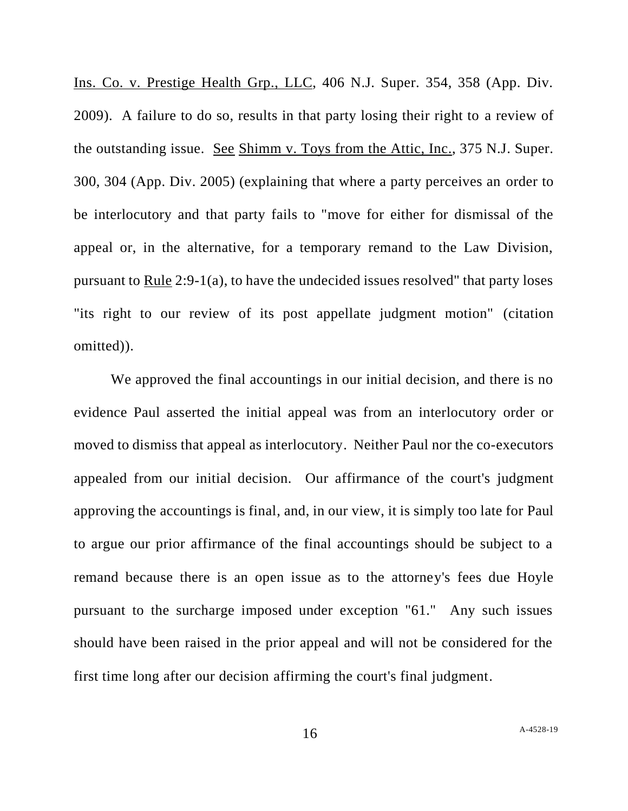Ins. Co. v. Prestige Health Grp., LLC, 406 N.J. Super. 354, 358 (App. Div. 2009). A failure to do so, results in that party losing their right to a review of the outstanding issue. See Shimm v. Toys from the Attic, Inc., 375 N.J. Super. 300, 304 (App. Div. 2005) (explaining that where a party perceives an order to be interlocutory and that party fails to "move for either for dismissal of the appeal or, in the alternative, for a temporary remand to the Law Division, pursuant to Rule 2:9-1(a), to have the undecided issues resolved" that party loses "its right to our review of its post appellate judgment motion" (citation omitted)).

We approved the final accountings in our initial decision, and there is no evidence Paul asserted the initial appeal was from an interlocutory order or moved to dismiss that appeal as interlocutory. Neither Paul nor the co-executors appealed from our initial decision. Our affirmance of the court's judgment approving the accountings is final, and, in our view, it is simply too late for Paul to argue our prior affirmance of the final accountings should be subject to a remand because there is an open issue as to the attorney's fees due Hoyle pursuant to the surcharge imposed under exception "61." Any such issues should have been raised in the prior appeal and will not be considered for the first time long after our decision affirming the court's final judgment.